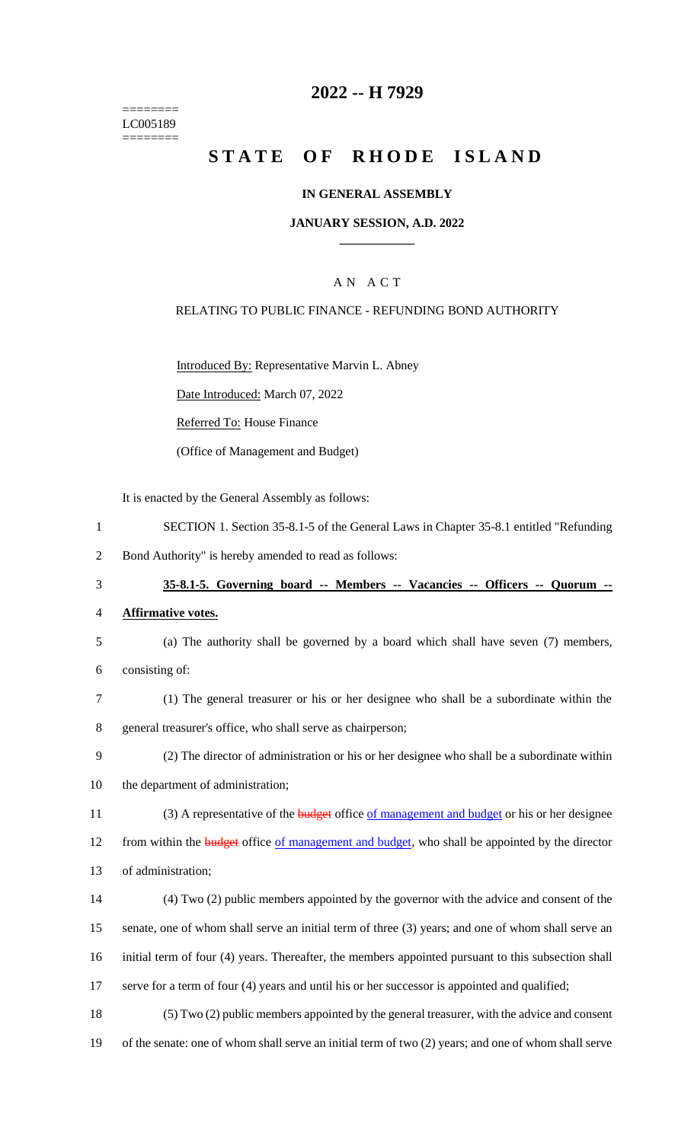======== LC005189 ========

### **2022 -- H 7929**

## **STATE OF RHODE ISLAND**

### **IN GENERAL ASSEMBLY**

### **JANUARY SESSION, A.D. 2022 \_\_\_\_\_\_\_\_\_\_\_\_**

### A N A C T

### RELATING TO PUBLIC FINANCE - REFUNDING BOND AUTHORITY

Introduced By: Representative Marvin L. Abney

Date Introduced: March 07, 2022

Referred To: House Finance

(Office of Management and Budget)

It is enacted by the General Assembly as follows:

1 SECTION 1. Section 35-8.1-5 of the General Laws in Chapter 35-8.1 entitled "Refunding

2 Bond Authority" is hereby amended to read as follows:

- 3 **35-8.1-5. Governing board -- Members -- Vacancies -- Officers -- Quorum --**
- 4 **Affirmative votes.**
- 5 (a) The authority shall be governed by a board which shall have seven (7) members,
- 6 consisting of:
- 7 (1) The general treasurer or his or her designee who shall be a subordinate within the 8 general treasurer's office, who shall serve as chairperson;
- 9 (2) The director of administration or his or her designee who shall be a subordinate within 10 the department of administration;
- 
- 11 (3) A representative of the **budget** office of management and budget or his or her designee

12 from within the **budget** office of management and budget, who shall be appointed by the director

- 13 of administration;
- 14 (4) Two (2) public members appointed by the governor with the advice and consent of the 15 senate, one of whom shall serve an initial term of three (3) years; and one of whom shall serve an 16 initial term of four (4) years. Thereafter, the members appointed pursuant to this subsection shall 17 serve for a term of four (4) years and until his or her successor is appointed and qualified;
- 18 (5) Two (2) public members appointed by the general treasurer, with the advice and consent 19 of the senate: one of whom shall serve an initial term of two (2) years; and one of whom shall serve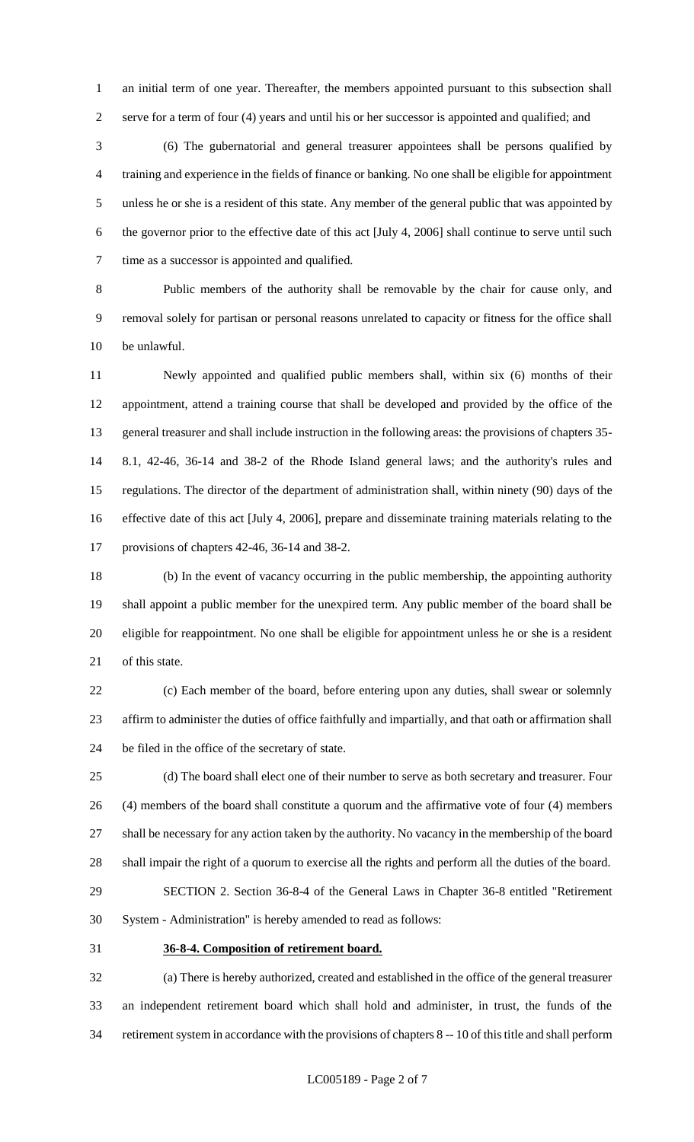an initial term of one year. Thereafter, the members appointed pursuant to this subsection shall serve for a term of four (4) years and until his or her successor is appointed and qualified; and

 (6) The gubernatorial and general treasurer appointees shall be persons qualified by training and experience in the fields of finance or banking. No one shall be eligible for appointment unless he or she is a resident of this state. Any member of the general public that was appointed by the governor prior to the effective date of this act [July 4, 2006] shall continue to serve until such time as a successor is appointed and qualified.

 Public members of the authority shall be removable by the chair for cause only, and removal solely for partisan or personal reasons unrelated to capacity or fitness for the office shall be unlawful.

 Newly appointed and qualified public members shall, within six (6) months of their appointment, attend a training course that shall be developed and provided by the office of the general treasurer and shall include instruction in the following areas: the provisions of chapters 35- 8.1, 42-46, 36-14 and 38-2 of the Rhode Island general laws; and the authority's rules and regulations. The director of the department of administration shall, within ninety (90) days of the effective date of this act [July 4, 2006], prepare and disseminate training materials relating to the provisions of chapters 42-46, 36-14 and 38-2.

 (b) In the event of vacancy occurring in the public membership, the appointing authority shall appoint a public member for the unexpired term. Any public member of the board shall be eligible for reappointment. No one shall be eligible for appointment unless he or she is a resident of this state.

 (c) Each member of the board, before entering upon any duties, shall swear or solemnly affirm to administer the duties of office faithfully and impartially, and that oath or affirmation shall be filed in the office of the secretary of state.

 (d) The board shall elect one of their number to serve as both secretary and treasurer. Four (4) members of the board shall constitute a quorum and the affirmative vote of four (4) members shall be necessary for any action taken by the authority. No vacancy in the membership of the board shall impair the right of a quorum to exercise all the rights and perform all the duties of the board. SECTION 2. Section 36-8-4 of the General Laws in Chapter 36-8 entitled "Retirement

System - Administration" is hereby amended to read as follows:

### **36-8-4. Composition of retirement board.**

 (a) There is hereby authorized, created and established in the office of the general treasurer an independent retirement board which shall hold and administer, in trust, the funds of the retirement system in accordance with the provisions of chapters 8 -- 10 of this title and shall perform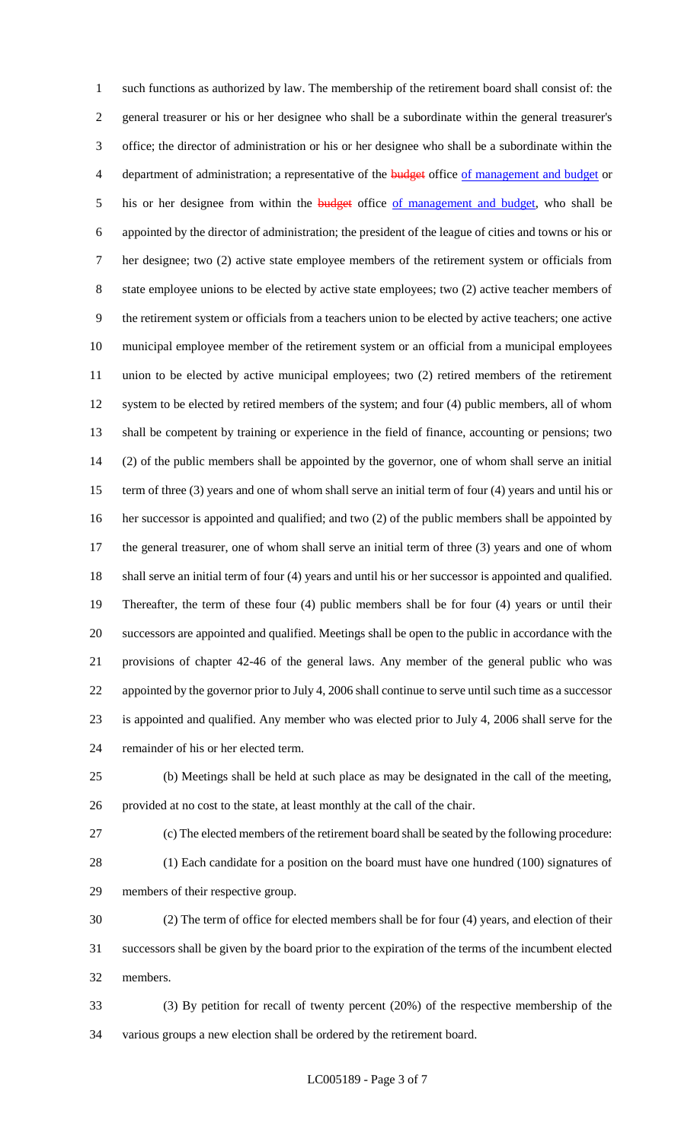such functions as authorized by law. The membership of the retirement board shall consist of: the general treasurer or his or her designee who shall be a subordinate within the general treasurer's office; the director of administration or his or her designee who shall be a subordinate within the 4 department of administration; a representative of the budget office of management and budget or 5 his or her designee from within the **budget** office of management and budget, who shall be appointed by the director of administration; the president of the league of cities and towns or his or her designee; two (2) active state employee members of the retirement system or officials from state employee unions to be elected by active state employees; two (2) active teacher members of the retirement system or officials from a teachers union to be elected by active teachers; one active municipal employee member of the retirement system or an official from a municipal employees union to be elected by active municipal employees; two (2) retired members of the retirement system to be elected by retired members of the system; and four (4) public members, all of whom shall be competent by training or experience in the field of finance, accounting or pensions; two (2) of the public members shall be appointed by the governor, one of whom shall serve an initial term of three (3) years and one of whom shall serve an initial term of four (4) years and until his or her successor is appointed and qualified; and two (2) of the public members shall be appointed by the general treasurer, one of whom shall serve an initial term of three (3) years and one of whom shall serve an initial term of four (4) years and until his or her successor is appointed and qualified. Thereafter, the term of these four (4) public members shall be for four (4) years or until their successors are appointed and qualified. Meetings shall be open to the public in accordance with the provisions of chapter 42-46 of the general laws. Any member of the general public who was appointed by the governor prior to July 4, 2006 shall continue to serve until such time as a successor is appointed and qualified. Any member who was elected prior to July 4, 2006 shall serve for the remainder of his or her elected term.

 (b) Meetings shall be held at such place as may be designated in the call of the meeting, provided at no cost to the state, at least monthly at the call of the chair.

 (c) The elected members of the retirement board shall be seated by the following procedure: (1) Each candidate for a position on the board must have one hundred (100) signatures of members of their respective group.

 (2) The term of office for elected members shall be for four (4) years, and election of their successors shall be given by the board prior to the expiration of the terms of the incumbent elected members.

 (3) By petition for recall of twenty percent (20%) of the respective membership of the various groups a new election shall be ordered by the retirement board.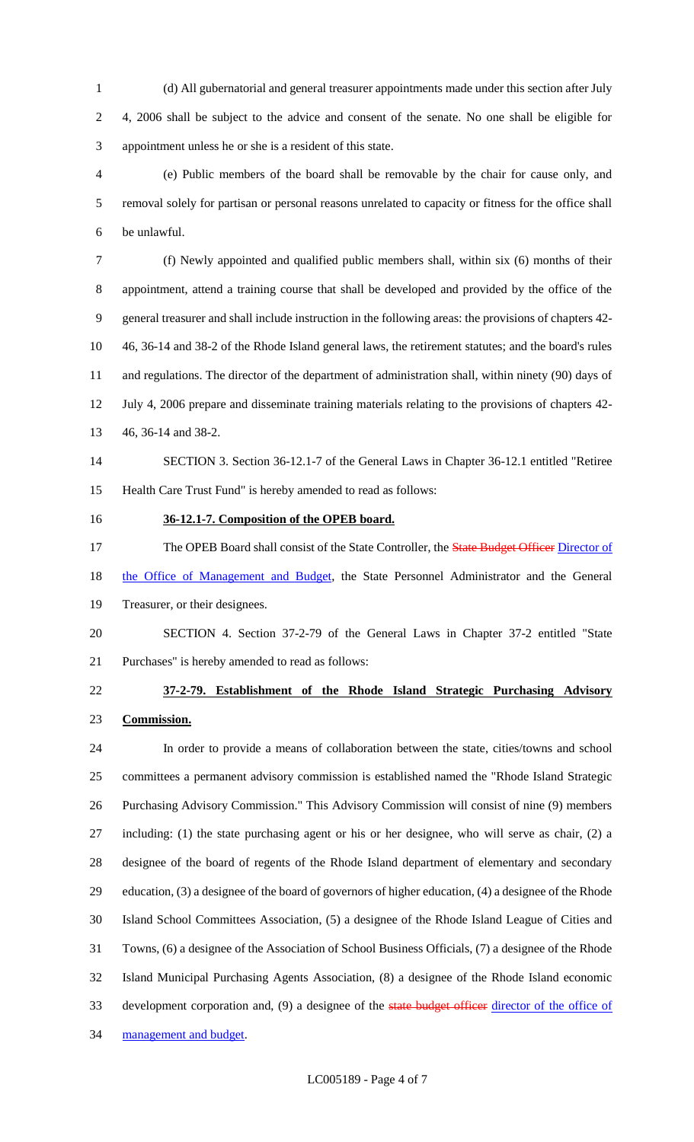(d) All gubernatorial and general treasurer appointments made under this section after July 4, 2006 shall be subject to the advice and consent of the senate. No one shall be eligible for appointment unless he or she is a resident of this state.

 (e) Public members of the board shall be removable by the chair for cause only, and removal solely for partisan or personal reasons unrelated to capacity or fitness for the office shall be unlawful.

 (f) Newly appointed and qualified public members shall, within six (6) months of their appointment, attend a training course that shall be developed and provided by the office of the general treasurer and shall include instruction in the following areas: the provisions of chapters 42- 46, 36-14 and 38-2 of the Rhode Island general laws, the retirement statutes; and the board's rules and regulations. The director of the department of administration shall, within ninety (90) days of July 4, 2006 prepare and disseminate training materials relating to the provisions of chapters 42- 46, 36-14 and 38-2.

# SECTION 3. Section 36-12.1-7 of the General Laws in Chapter 36-12.1 entitled "Retiree Health Care Trust Fund" is hereby amended to read as follows:

### **36-12.1-7. Composition of the OPEB board.**

17 The OPEB Board shall consist of the State Controller, the State Budget Officer Director of

18 the Office of Management and Budget, the State Personnel Administrator and the General

- Treasurer, or their designees.
- SECTION 4. Section 37-2-79 of the General Laws in Chapter 37-2 entitled "State Purchases" is hereby amended to read as follows:
- 

# **37-2-79. Establishment of the Rhode Island Strategic Purchasing Advisory Commission.**

 In order to provide a means of collaboration between the state, cities/towns and school committees a permanent advisory commission is established named the "Rhode Island Strategic Purchasing Advisory Commission." This Advisory Commission will consist of nine (9) members including: (1) the state purchasing agent or his or her designee, who will serve as chair, (2) a designee of the board of regents of the Rhode Island department of elementary and secondary education, (3) a designee of the board of governors of higher education, (4) a designee of the Rhode Island School Committees Association, (5) a designee of the Rhode Island League of Cities and Towns, (6) a designee of the Association of School Business Officials, (7) a designee of the Rhode Island Municipal Purchasing Agents Association, (8) a designee of the Rhode Island economic 33 development corporation and, (9) a designee of the state budget officer director of the office of management and budget.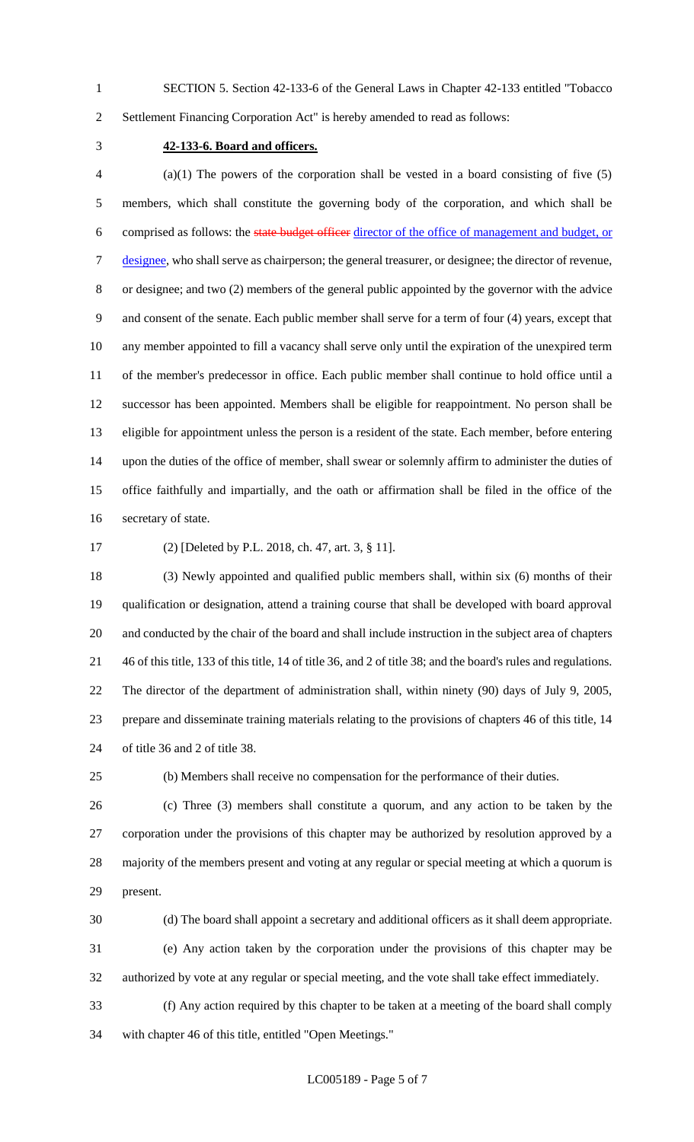SECTION 5. Section 42-133-6 of the General Laws in Chapter 42-133 entitled "Tobacco

Settlement Financing Corporation Act" is hereby amended to read as follows:

### **42-133-6. Board and officers.**

 (a)(1) The powers of the corporation shall be vested in a board consisting of five (5) members, which shall constitute the governing body of the corporation, and which shall be comprised as follows: the state budget officer director of the office of management and budget, or 7 designee, who shall serve as chairperson; the general treasurer, or designee; the director of revenue, or designee; and two (2) members of the general public appointed by the governor with the advice and consent of the senate. Each public member shall serve for a term of four (4) years, except that any member appointed to fill a vacancy shall serve only until the expiration of the unexpired term of the member's predecessor in office. Each public member shall continue to hold office until a successor has been appointed. Members shall be eligible for reappointment. No person shall be eligible for appointment unless the person is a resident of the state. Each member, before entering upon the duties of the office of member, shall swear or solemnly affirm to administer the duties of office faithfully and impartially, and the oath or affirmation shall be filed in the office of the secretary of state.

(2) [Deleted by P.L. 2018, ch. 47, art. 3, § 11].

 (3) Newly appointed and qualified public members shall, within six (6) months of their qualification or designation, attend a training course that shall be developed with board approval and conducted by the chair of the board and shall include instruction in the subject area of chapters 46 of this title, 133 of this title, 14 of title 36, and 2 of title 38; and the board's rules and regulations. The director of the department of administration shall, within ninety (90) days of July 9, 2005, prepare and disseminate training materials relating to the provisions of chapters 46 of this title, 14 of title 36 and 2 of title 38.

(b) Members shall receive no compensation for the performance of their duties.

 (c) Three (3) members shall constitute a quorum, and any action to be taken by the corporation under the provisions of this chapter may be authorized by resolution approved by a majority of the members present and voting at any regular or special meeting at which a quorum is present.

(d) The board shall appoint a secretary and additional officers as it shall deem appropriate.

 (e) Any action taken by the corporation under the provisions of this chapter may be authorized by vote at any regular or special meeting, and the vote shall take effect immediately.

 (f) Any action required by this chapter to be taken at a meeting of the board shall comply with chapter 46 of this title, entitled "Open Meetings."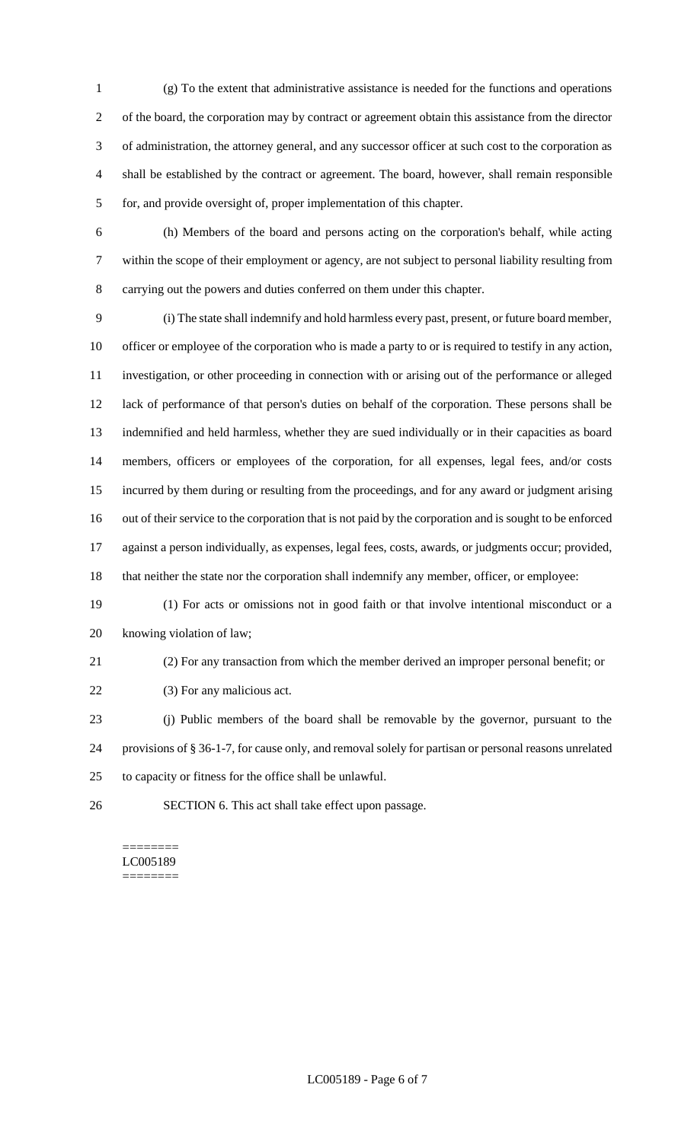(g) To the extent that administrative assistance is needed for the functions and operations of the board, the corporation may by contract or agreement obtain this assistance from the director of administration, the attorney general, and any successor officer at such cost to the corporation as shall be established by the contract or agreement. The board, however, shall remain responsible for, and provide oversight of, proper implementation of this chapter.

 (h) Members of the board and persons acting on the corporation's behalf, while acting within the scope of their employment or agency, are not subject to personal liability resulting from carrying out the powers and duties conferred on them under this chapter.

 (i) The state shall indemnify and hold harmless every past, present, or future board member, officer or employee of the corporation who is made a party to or is required to testify in any action, investigation, or other proceeding in connection with or arising out of the performance or alleged lack of performance of that person's duties on behalf of the corporation. These persons shall be indemnified and held harmless, whether they are sued individually or in their capacities as board members, officers or employees of the corporation, for all expenses, legal fees, and/or costs incurred by them during or resulting from the proceedings, and for any award or judgment arising out of their service to the corporation that is not paid by the corporation and is sought to be enforced against a person individually, as expenses, legal fees, costs, awards, or judgments occur; provided, that neither the state nor the corporation shall indemnify any member, officer, or employee:

 (1) For acts or omissions not in good faith or that involve intentional misconduct or a knowing violation of law;

(2) For any transaction from which the member derived an improper personal benefit; or

22 (3) For any malicious act.

 (j) Public members of the board shall be removable by the governor, pursuant to the provisions of § 36-1-7, for cause only, and removal solely for partisan or personal reasons unrelated to capacity or fitness for the office shall be unlawful.

SECTION 6. This act shall take effect upon passage.

### ======== LC005189 ========